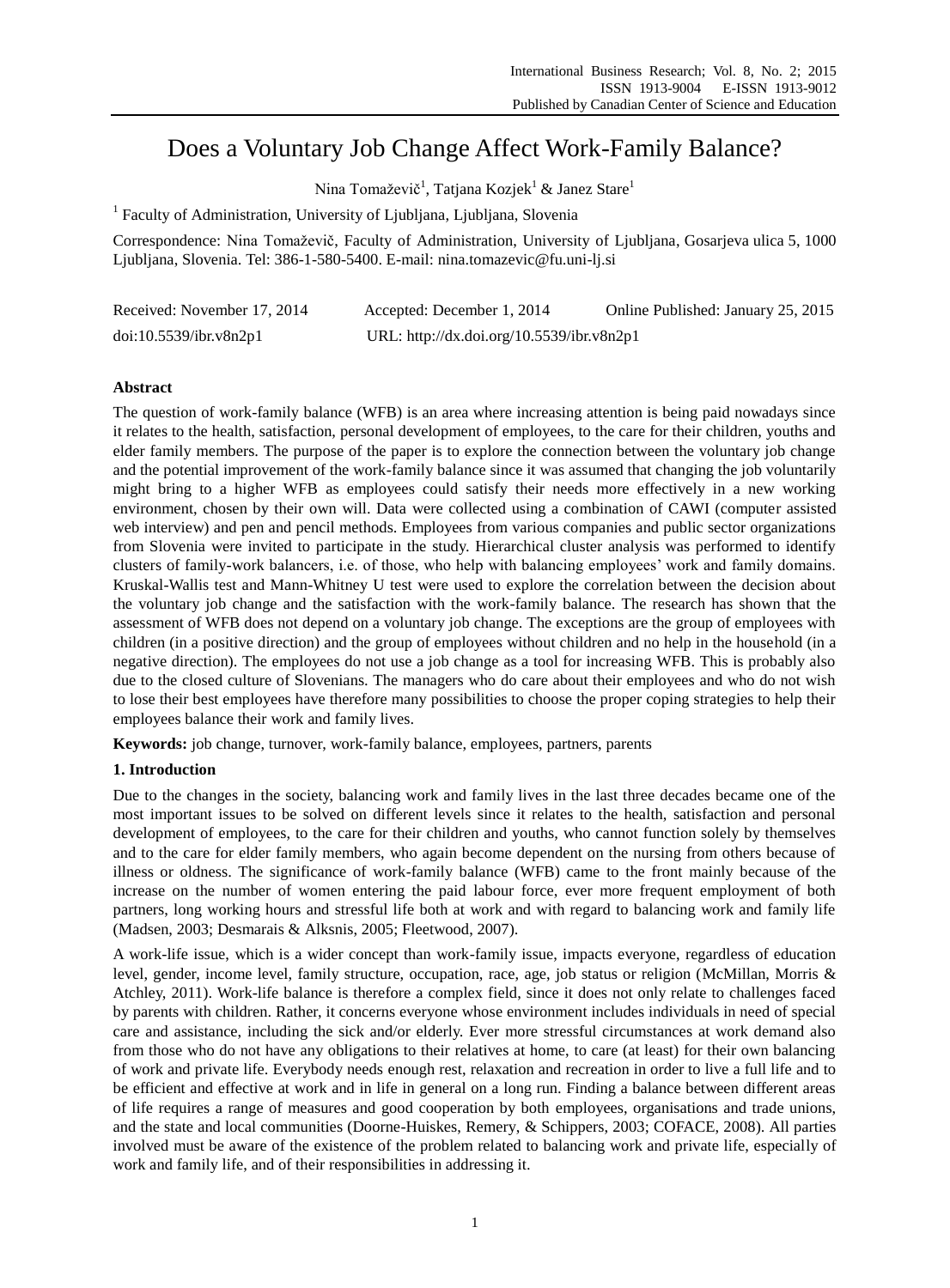# Does a Voluntary Job Change Affect Work-Family Balance?

Nina Tomaževič<sup>1</sup>, Tatjana Kozjek<sup>1</sup> & Janez Stare<sup>1</sup>

<sup>1</sup> Faculty of Administration, University of Ljubljana, Ljubljana, Slovenia

Correspondence: Nina Tomaževič, Faculty of Administration, University of Ljubljana, Gosarjeva ulica 5, 1000 Ljubljana, Slovenia. Tel: 386-1-580-5400. E-mail: nina.tomazevic@fu.uni-lj.si

| Received: November 17, 2014 | Accepted: December 1, 2014                | Online Published: January 25, 2015 |
|-----------------------------|-------------------------------------------|------------------------------------|
| doi:10.5539/ibr.v8n2p1      | URL: http://dx.doi.org/10.5539/ibr.v8n2p1 |                                    |

# **Abstract**

The question of work-family balance (WFB) is an area where increasing attention is being paid nowadays since it relates to the health, satisfaction, personal development of employees, to the care for their children, youths and elder family members. The purpose of the paper is to explore the connection between the voluntary job change and the potential improvement of the work-family balance since it was assumed that changing the job voluntarily might bring to a higher WFB as employees could satisfy their needs more effectively in a new working environment, chosen by their own will. Data were collected using a combination of CAWI (computer assisted web interview) and pen and pencil methods. Employees from various companies and public sector organizations from Slovenia were invited to participate in the study. Hierarchical cluster analysis was performed to identify clusters of family-work balancers, i.e. of those, who help with balancing employees" work and family domains. Kruskal-Wallis test and Mann-Whitney U test were used to explore the correlation between the decision about the voluntary job change and the satisfaction with the work-family balance. The research has shown that the assessment of WFB does not depend on a voluntary job change. The exceptions are the group of employees with children (in a positive direction) and the group of employees without children and no help in the household (in a negative direction). The employees do not use a job change as a tool for increasing WFB. This is probably also due to the closed culture of Slovenians. The managers who do care about their employees and who do not wish to lose their best employees have therefore many possibilities to choose the proper coping strategies to help their employees balance their work and family lives.

**Keywords:** job change, turnover, work-family balance, employees, partners, parents

# **1. Introduction**

Due to the changes in the society, balancing work and family lives in the last three decades became one of the most important issues to be solved on different levels since it relates to the health, satisfaction and personal development of employees, to the care for their children and youths, who cannot function solely by themselves and to the care for elder family members, who again become dependent on the nursing from others because of illness or oldness. The significance of work-family balance (WFB) came to the front mainly because of the increase on the number of women entering the paid labour force, ever more frequent employment of both partners, long working hours and stressful life both at work and with regard to balancing work and family life (Madsen, 2003; Desmarais & Alksnis, 2005; Fleetwood, 2007).

A work-life issue, which is a wider concept than work-family issue, impacts everyone, regardless of education level, gender, income level, family structure, occupation, race, age, job status or religion (McMillan, Morris & Atchley, 2011). Work-life balance is therefore a complex field, since it does not only relate to challenges faced by parents with children. Rather, it concerns everyone whose environment includes individuals in need of special care and assistance, including the sick and/or elderly. Ever more stressful circumstances at work demand also from those who do not have any obligations to their relatives at home, to care (at least) for their own balancing of work and private life. Everybody needs enough rest, relaxation and recreation in order to live a full life and to be efficient and effective at work and in life in general on a long run. Finding a balance between different areas of life requires a range of measures and good cooperation by both employees, organisations and trade unions, and the state and local communities (Doorne-Huiskes, Remery, & Schippers, 2003; COFACE, 2008). All parties involved must be aware of the existence of the problem related to balancing work and private life, especially of work and family life, and of their responsibilities in addressing it.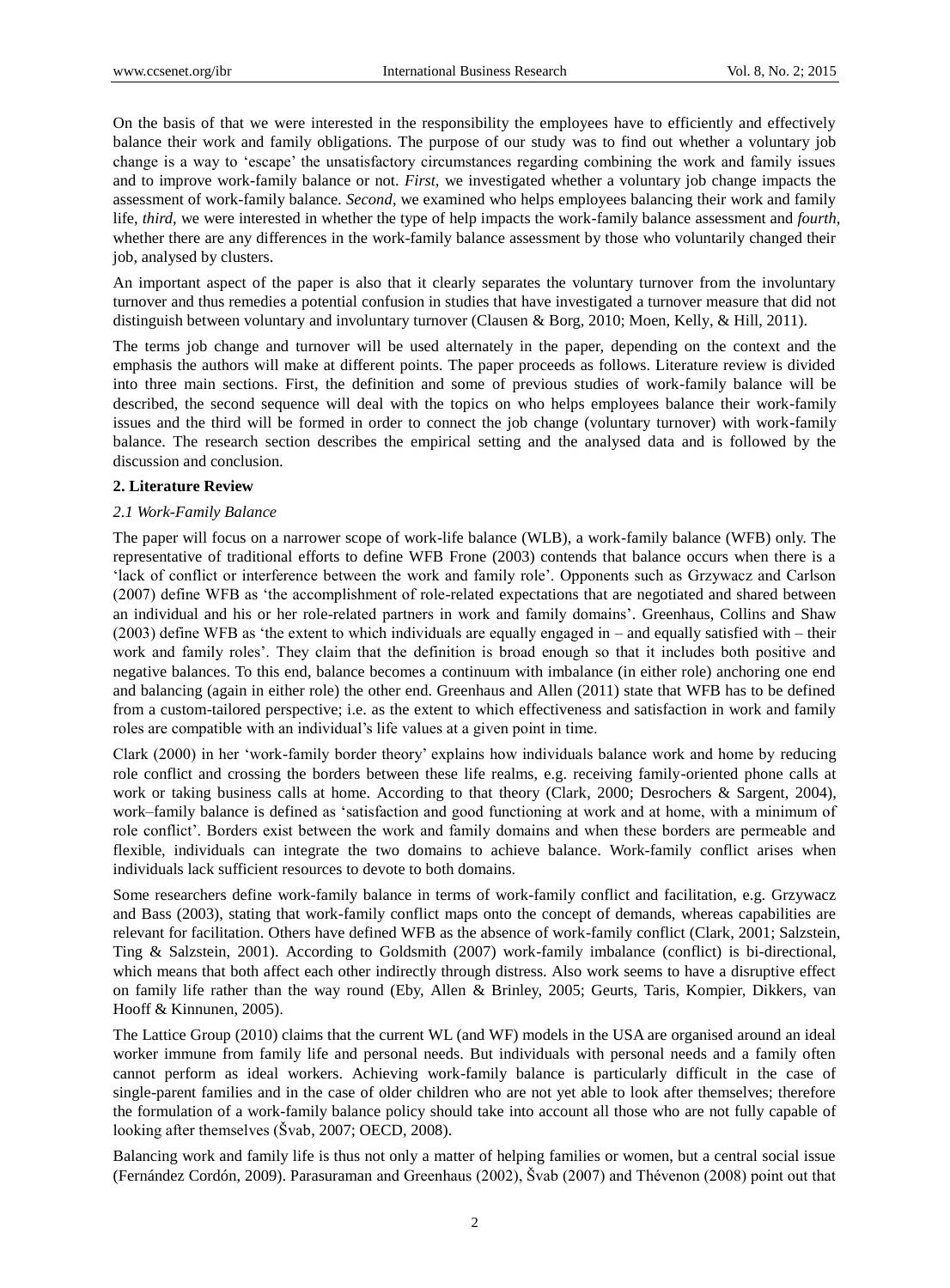On the basis of that we were interested in the responsibility the employees have to efficiently and effectively balance their work and family obligations. The purpose of our study was to find out whether a voluntary job change is a way to "escape" the unsatisfactory circumstances regarding combining the work and family issues and to improve work-family balance or not. *First*, we investigated whether a voluntary job change impacts the assessment of work-family balance*. Second*, we examined who helps employees balancing their work and family life, *third,* we were interested in whether the type of help impacts the work-family balance assessment and *fourth*, whether there are any differences in the work-family balance assessment by those who voluntarily changed their job, analysed by clusters.

An important aspect of the paper is also that it clearly separates the voluntary turnover from the involuntary turnover and thus remedies a potential confusion in studies that have investigated a turnover measure that did not distinguish between voluntary and involuntary turnover (Clausen & Borg, 2010; Moen, Kelly, & Hill, 2011).

The terms job change and turnover will be used alternately in the paper, depending on the context and the emphasis the authors will make at different points. The paper proceeds as follows. Literature review is divided into three main sections. First, the definition and some of previous studies of work-family balance will be described, the second sequence will deal with the topics on who helps employees balance their work-family issues and the third will be formed in order to connect the job change (voluntary turnover) with work-family balance. The research section describes the empirical setting and the analysed data and is followed by the discussion and conclusion.

### **2. Literature Review**

### *2.1 Work-Family Balance*

The paper will focus on a narrower scope of work-life balance (WLB), a work-family balance (WFB) only. The representative of traditional efforts to define WFB Frone (2003) contends that balance occurs when there is a "lack of conflict or interference between the work and family role". Opponents such as Grzywacz and Carlson (2007) define WFB as "the accomplishment of role-related expectations that are negotiated and shared between an individual and his or her role-related partners in work and family domains". Greenhaus, Collins and Shaw (2003) define WFB as "the extent to which individuals are equally engaged in – and equally satisfied with – their work and family roles'. They claim that the definition is broad enough so that it includes both positive and negative balances. To this end, balance becomes a continuum with imbalance (in either role) anchoring one end and balancing (again in either role) the other end. Greenhaus and Allen (2011) state that WFB has to be defined from a custom-tailored perspective; i.e. as the extent to which effectiveness and satisfaction in work and family roles are compatible with an individual"s life values at a given point in time.

Clark (2000) in her "work-family border theory" explains how individuals balance work and home by reducing role conflict and crossing the borders between these life realms, e.g. receiving family-oriented phone calls at work or taking business calls at home. According to that theory (Clark, 2000; Desrochers & Sargent, 2004), work–family balance is defined as "satisfaction and good functioning at work and at home, with a minimum of role conflict". Borders exist between the work and family domains and when these borders are permeable and flexible, individuals can integrate the two domains to achieve balance. Work-family conflict arises when individuals lack sufficient resources to devote to both domains.

Some researchers define work-family balance in terms of work-family conflict and facilitation, e.g. Grzywacz and Bass (2003), stating that work-family conflict maps onto the concept of demands, whereas capabilities are relevant for facilitation. Others have defined WFB as the absence of work-family conflict (Clark, 2001; Salzstein, Ting & Salzstein, 2001). According to Goldsmith (2007) work-family imbalance (conflict) is bi-directional, which means that both affect each other indirectly through distress. Also work seems to have a disruptive effect on family life rather than the way round (Eby, Allen & Brinley, 2005; Geurts, Taris, Kompier, Dikkers, van Hooff & Kinnunen, 2005).

The Lattice Group (2010) claims that the current WL (and WF) models in the USA are organised around an ideal worker immune from family life and personal needs. But individuals with personal needs and a family often cannot perform as ideal workers. Achieving work-family balance is particularly difficult in the case of single-parent families and in the case of older children who are not yet able to look after themselves; therefore the formulation of a work-family balance policy should take into account all those who are not fully capable of looking after themselves (Švab, 2007; OECD, 2008).

Balancing work and family life is thus not only a matter of helping families or women, but a central social issue (Fernández Cordón, 2009). Parasuraman and Greenhaus (2002), Švab (2007) and Thévenon (2008) point out that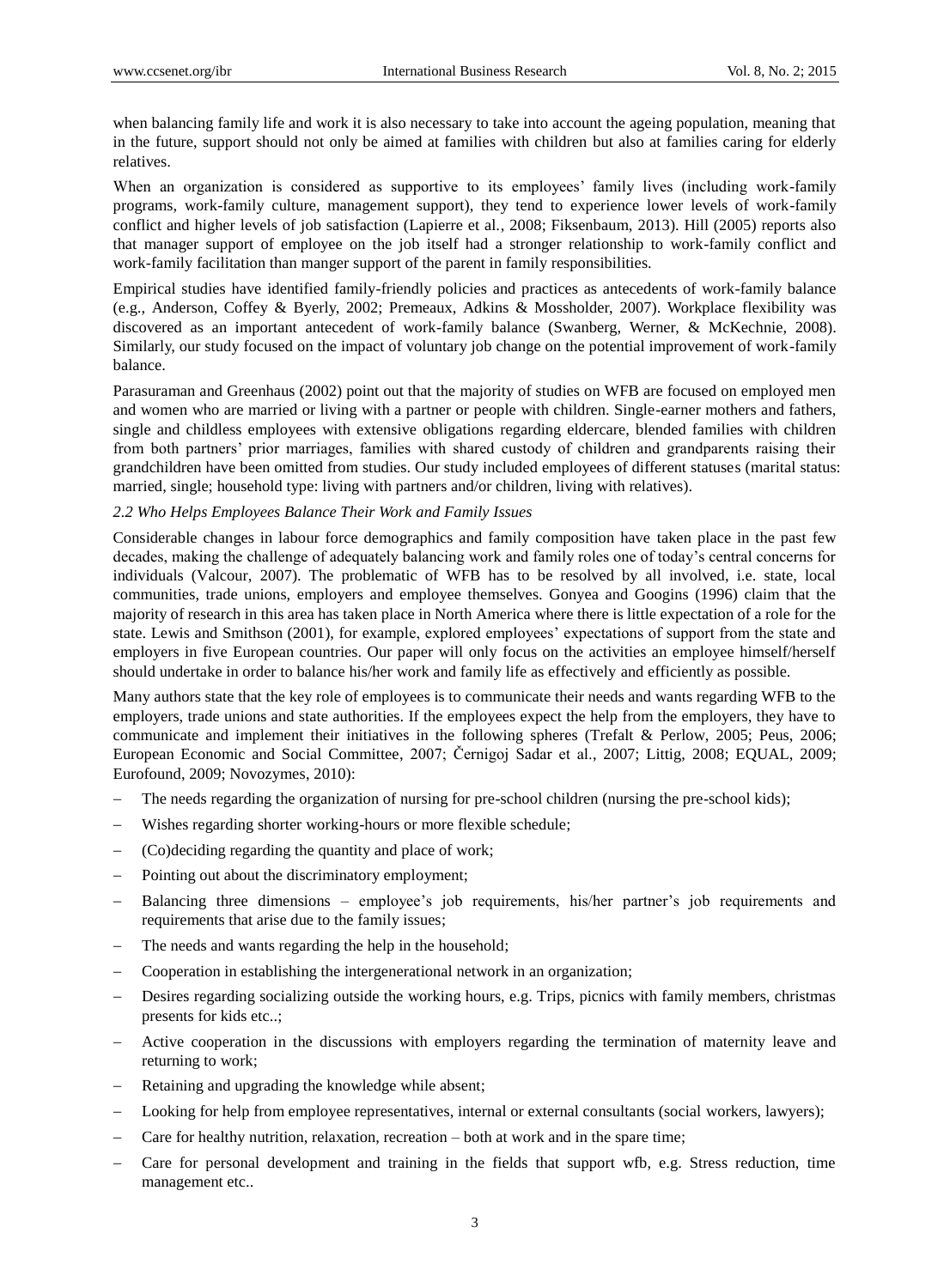when balancing family life and work it is also necessary to take into account the ageing population, meaning that in the future, support should not only be aimed at families with children but also at families caring for elderly relatives.

When an organization is considered as supportive to its employees' family lives (including work-family programs, work-family culture, management support), they tend to experience lower levels of work-family conflict and higher levels of job satisfaction (Lapierre et al., 2008; Fiksenbaum, 2013). Hill (2005) reports also that manager support of employee on the job itself had a stronger relationship to work-family conflict and work-family facilitation than manger support of the parent in family responsibilities.

Empirical studies have identified family-friendly policies and practices as antecedents of work-family balance (e.g., Anderson, Coffey & Byerly, 2002; Premeaux, Adkins & Mossholder, 2007). Workplace flexibility was discovered as an important antecedent of work-family balance (Swanberg, Werner, & McKechnie, 2008). Similarly, our study focused on the impact of voluntary job change on the potential improvement of work-family balance.

Parasuraman and Greenhaus (2002) point out that the majority of studies on WFB are focused on employed men and women who are married or living with a partner or people with children. Single-earner mothers and fathers, single and childless employees with extensive obligations regarding eldercare, blended families with children from both partners" prior marriages, families with shared custody of children and grandparents raising their grandchildren have been omitted from studies. Our study included employees of different statuses (marital status: married, single; household type: living with partners and/or children, living with relatives).

### *2.2 Who Helps Employees Balance Their Work and Family Issues*

Considerable changes in labour force demographics and family composition have taken place in the past few decades, making the challenge of adequately balancing work and family roles one of today"s central concerns for individuals (Valcour, 2007). The problematic of WFB has to be resolved by all involved, i.e. state, local communities, trade unions, employers and employee themselves. Gonyea and Googins (1996) claim that the majority of research in this area has taken place in North America where there is little expectation of a role for the state. Lewis and Smithson (2001), for example, explored employees" expectations of support from the state and employers in five European countries. Our paper will only focus on the activities an employee himself/herself should undertake in order to balance his/her work and family life as effectively and efficiently as possible.

Many authors state that the key role of employees is to communicate their needs and wants regarding WFB to the employers, trade unions and state authorities. If the employees expect the help from the employers, they have to communicate and implement their initiatives in the following spheres (Trefalt & Perlow, 2005; Peus, 2006; European Economic and Social Committee, 2007; Černigoj Sadar et al., 2007; Littig, 2008; EQUAL, 2009; Eurofound, 2009; Novozymes, 2010):

- The needs regarding the organization of nursing for pre-school children (nursing the pre-school kids);
- Wishes regarding shorter working-hours or more flexible schedule;
- (Co)deciding regarding the quantity and place of work;
- Pointing out about the discriminatory employment;
- Balancing three dimensions employee"s job requirements, his/her partner"s job requirements and requirements that arise due to the family issues;
- The needs and wants regarding the help in the household;
- Cooperation in establishing the intergenerational network in an organization;
- Desires regarding socializing outside the working hours, e.g. Trips, picnics with family members, christmas presents for kids etc..;
- Active cooperation in the discussions with employers regarding the termination of maternity leave and returning to work;
- Retaining and upgrading the knowledge while absent;
- Looking for help from employee representatives, internal or external consultants (social workers, lawyers);
- Care for healthy nutrition, relaxation, recreation both at work and in the spare time;
- Care for personal development and training in the fields that support wfb, e.g. Stress reduction, time management etc..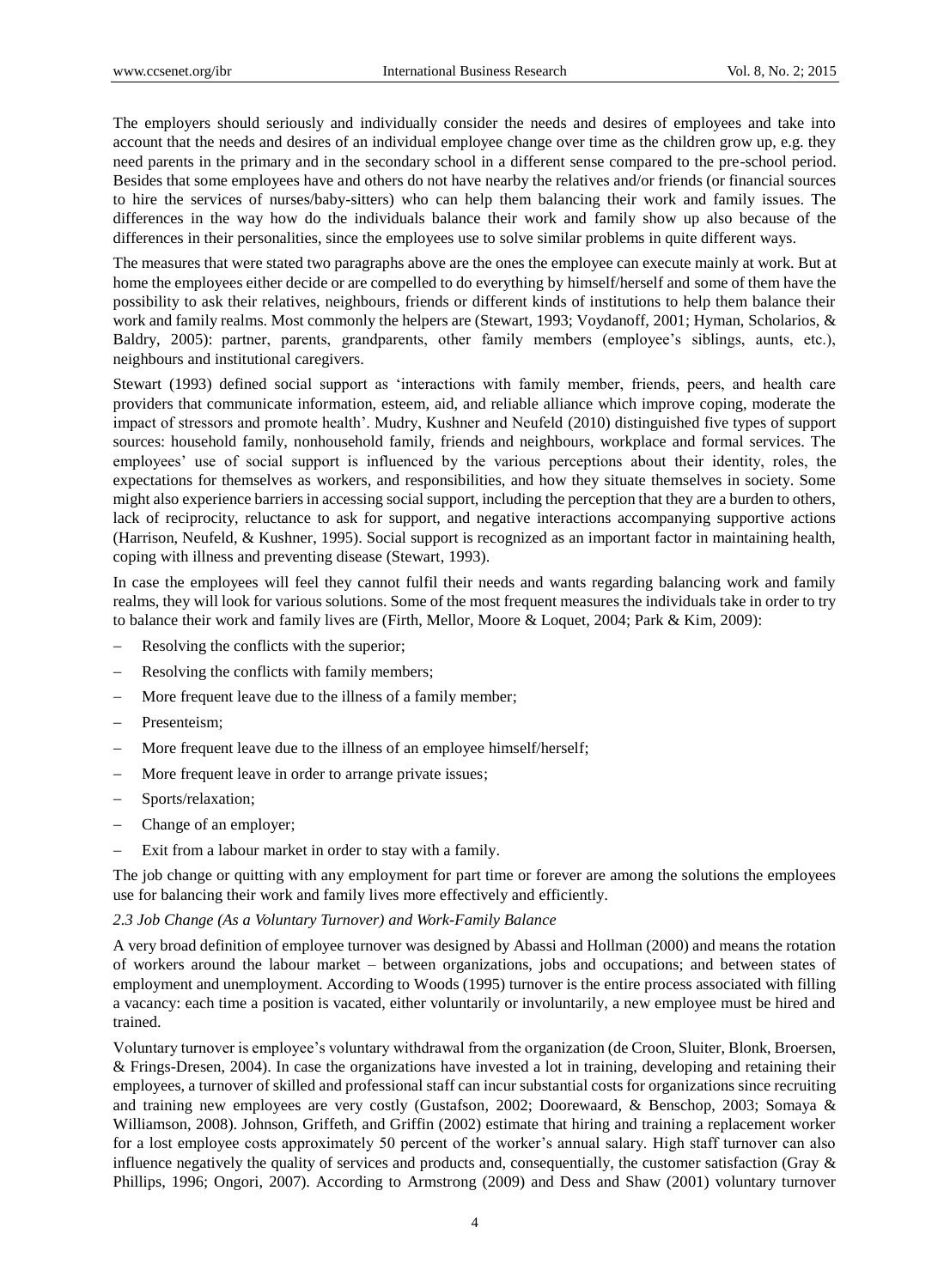The employers should seriously and individually consider the needs and desires of employees and take into account that the needs and desires of an individual employee change over time as the children grow up, e.g. they need parents in the primary and in the secondary school in a different sense compared to the pre-school period. Besides that some employees have and others do not have nearby the relatives and/or friends (or financial sources to hire the services of nurses/baby-sitters) who can help them balancing their work and family issues. The differences in the way how do the individuals balance their work and family show up also because of the differences in their personalities, since the employees use to solve similar problems in quite different ways.

The measures that were stated two paragraphs above are the ones the employee can execute mainly at work. But at home the employees either decide or are compelled to do everything by himself/herself and some of them have the possibility to ask their relatives, neighbours, friends or different kinds of institutions to help them balance their work and family realms. Most commonly the helpers are (Stewart, 1993; Voydanoff, 2001; Hyman, Scholarios, & Baldry, 2005): partner, parents, grandparents, other family members (employee"s siblings, aunts, etc.), neighbours and institutional caregivers.

Stewart (1993) defined social support as "interactions with family member, friends, peers, and health care providers that communicate information, esteem, aid, and reliable alliance which improve coping, moderate the impact of stressors and promote health". Mudry, Kushner and Neufeld (2010) distinguished five types of support sources: household family, nonhousehold family, friends and neighbours, workplace and formal services. The employees" use of social support is influenced by the various perceptions about their identity, roles, the expectations for themselves as workers, and responsibilities, and how they situate themselves in society. Some might also experience barriers in accessing social support, including the perception that they are a burden to others, lack of reciprocity, reluctance to ask for support, and negative interactions accompanying supportive actions (Harrison, Neufeld, & Kushner, 1995). Social support is recognized as an important factor in maintaining health, coping with illness and preventing disease (Stewart, 1993).

In case the employees will feel they cannot fulfil their needs and wants regarding balancing work and family realms, they will look for various solutions. Some of the most frequent measures the individuals take in order to try to balance their work and family lives are (Firth, Mellor, Moore & Loquet, 2004; Park & Kim, 2009):

- Resolving the conflicts with the superior;
- Resolving the conflicts with family members;
- More frequent leave due to the illness of a family member;
- Presenteism;
- More frequent leave due to the illness of an employee himself/herself;
- More frequent leave in order to arrange private issues;
- Sports/relaxation;
- Change of an employer;
- Exit from a labour market in order to stay with a family.

The job change or quitting with any employment for part time or forever are among the solutions the employees use for balancing their work and family lives more effectively and efficiently.

#### *2.3 Job Change (As a Voluntary Turnover) and Work-Family Balance*

A very broad definition of employee turnover was designed by Abassi and Hollman (2000) and means the rotation of workers around the labour market – between organizations, jobs and occupations; and between states of employment and unemployment. According to Woods (1995) turnover is the entire process associated with filling a vacancy: each time a position is vacated, either voluntarily or involuntarily, a new employee must be hired and trained.

Voluntary turnover is employee"s voluntary withdrawal from the organization (de Croon, Sluiter, Blonk, Broersen, & Frings-Dresen, 2004). In case the organizations have invested a lot in training, developing and retaining their employees, a turnover of skilled and professional staff can incur substantial costs for organizations since recruiting and training new employees are very costly (Gustafson, 2002; Doorewaard, & Benschop, 2003; Somaya & Williamson, 2008). Johnson, Griffeth, and Griffin (2002) estimate that hiring and training a replacement worker for a lost employee costs approximately 50 percent of the worker"s annual salary. High staff turnover can also influence negatively the quality of services and products and, consequentially, the customer satisfaction (Gray & Phillips, 1996; Ongori, 2007). According to Armstrong (2009) and Dess and Shaw (2001) voluntary turnover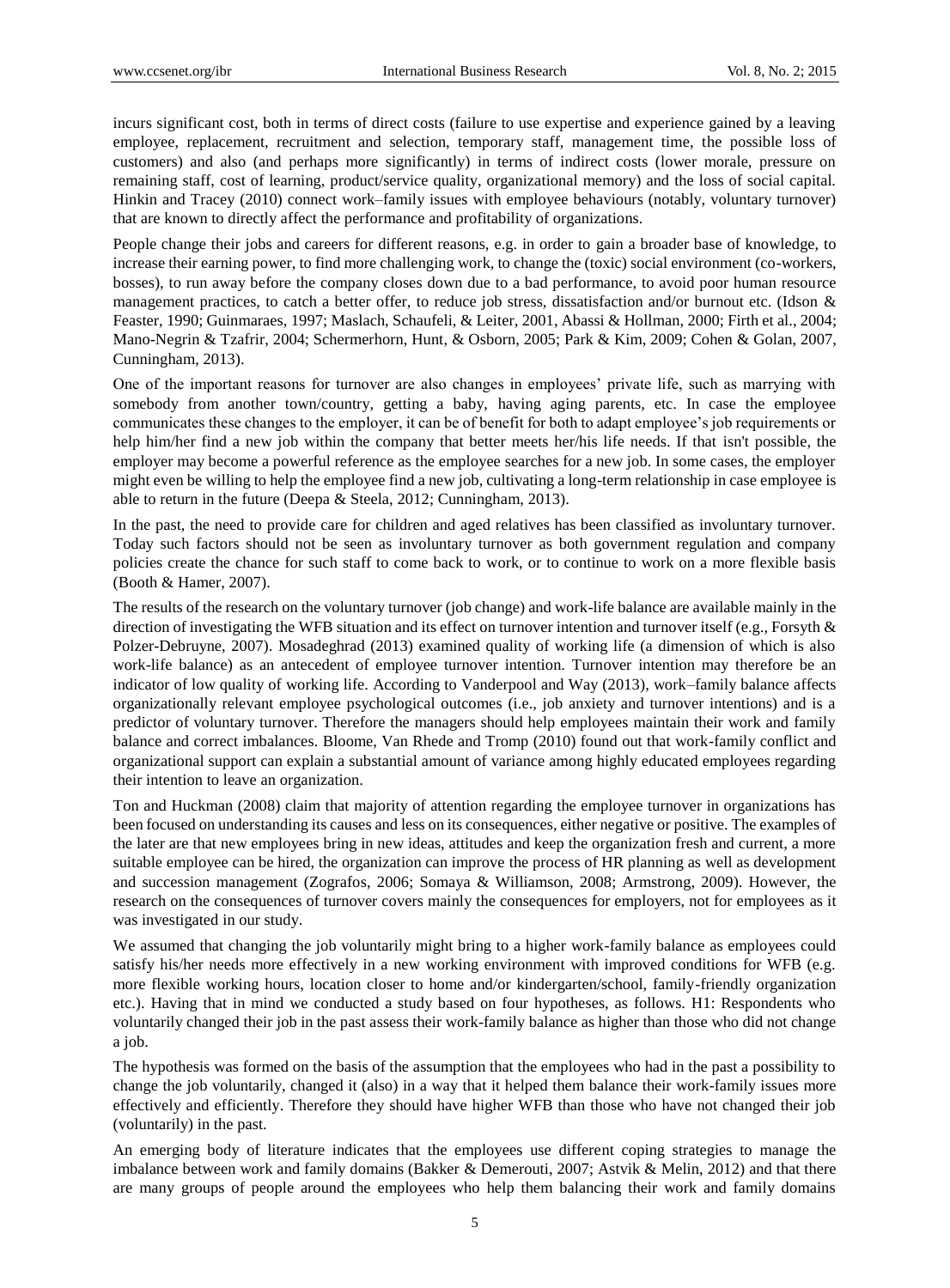incurs significant cost, both in terms of direct costs (failure to use expertise and experience gained by a leaving employee, replacement, recruitment and selection, temporary staff, management time, the possible loss of customers) and also (and perhaps more significantly) in terms of indirect costs (lower morale, pressure on remaining staff, cost of learning, product/service quality, organizational memory) and the loss of social capital. Hinkin and Tracey (2010) connect work–family issues with employee behaviours (notably, voluntary turnover) that are known to directly affect the performance and profitability of organizations.

People change their jobs and careers for different reasons, e.g. in order to gain a broader base of knowledge, to increase their earning power, to find more challenging work, to change the (toxic) social environment (co-workers, bosses), to run away before the company closes down due to a bad performance, to avoid poor human resource management practices, to catch a better offer, to reduce job stress, dissatisfaction and/or burnout etc. (Idson & Feaster, 1990; Guinmaraes, 1997; Maslach, Schaufeli, & Leiter, 2001, Abassi & Hollman, 2000; Firth et al., 2004; Mano-Negrin & Tzafrir, 2004; Schermerhorn, Hunt, & Osborn, 2005; Park & Kim, 2009; Cohen & Golan, 2007, Cunningham, 2013).

One of the important reasons for turnover are also changes in employees" private life, such as marrying with somebody from another town/country, getting a baby, having aging parents, etc. In case the employee communicates these changes to the employer, it can be of benefit for both to adapt employee"s job requirements or help him/her find a new job within the company that better meets her/his life needs. If that isn't possible, the employer may become a powerful reference as the employee searches for a new job. In some cases, the employer might even be willing to help the employee find a new job, cultivating a long-term relationship in case employee is able to return in the future (Deepa & Steela, 2012; Cunningham, 2013).

In the past, the need to provide care for children and aged relatives has been classified as involuntary turnover. Today such factors should not be seen as involuntary turnover as both government regulation and company policies create the chance for such staff to come back to work, or to continue to work on a more flexible basis (Booth & Hamer, 2007).

The results of the research on the voluntary turnover (job change) and work-life balance are available mainly in the direction of investigating the WFB situation and its effect on turnover intention and turnover itself (e.g., Forsyth & Polzer-Debruyne, 2007). Mosadeghrad (2013) examined quality of working life (a dimension of which is also work-life balance) as an antecedent of employee turnover intention. Turnover intention may therefore be an indicator of low quality of working life. According to Vanderpool and Way (2013), work–family balance affects organizationally relevant employee psychological outcomes (i.e., job anxiety and turnover intentions) and is a predictor of voluntary turnover. Therefore the managers should help employees maintain their work and family balance and correct imbalances. Bloome, Van Rhede and Tromp (2010) found out that work-family conflict and organizational support can explain a substantial amount of variance among highly educated employees regarding their intention to leave an organization.

Ton and Huckman (2008) claim that majority of attention regarding the employee turnover in organizations has been focused on understanding its causes and less on its consequences, either negative or positive. The examples of the later are that new employees bring in new ideas, attitudes and keep the organization fresh and current, a more suitable employee can be hired, the organization can improve the process of HR planning as well as development and succession management (Zografos, 2006; Somaya & Williamson, 2008; Armstrong, 2009). However, the research on the consequences of turnover covers mainly the consequences for employers, not for employees as it was investigated in our study.

We assumed that changing the job voluntarily might bring to a higher work-family balance as employees could satisfy his/her needs more effectively in a new working environment with improved conditions for WFB (e.g. more flexible working hours, location closer to home and/or kindergarten/school, family-friendly organization etc.). Having that in mind we conducted a study based on four hypotheses, as follows. H1: Respondents who voluntarily changed their job in the past assess their work-family balance as higher than those who did not change a job.

The hypothesis was formed on the basis of the assumption that the employees who had in the past a possibility to change the job voluntarily, changed it (also) in a way that it helped them balance their work-family issues more effectively and efficiently. Therefore they should have higher WFB than those who have not changed their job (voluntarily) in the past.

An emerging body of literature indicates that the employees use different coping strategies to manage the imbalance between work and family domains (Bakker & Demerouti, 2007; Astvik & Melin, 2012) and that there are many groups of people around the employees who help them balancing their work and family domains

5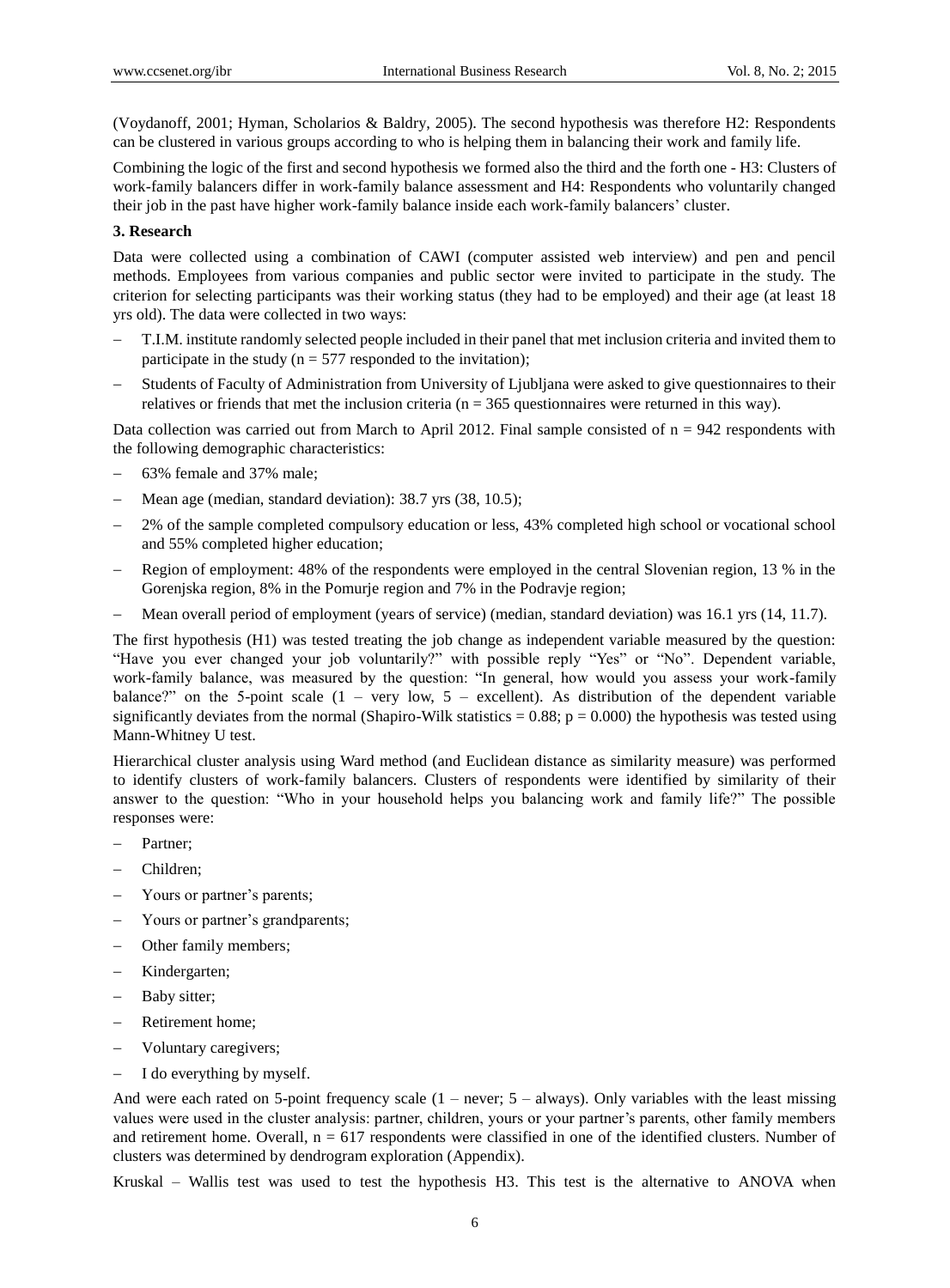(Voydanoff, 2001; Hyman, Scholarios & Baldry, 2005). The second hypothesis was therefore H2: Respondents can be clustered in various groups according to who is helping them in balancing their work and family life.

Combining the logic of the first and second hypothesis we formed also the third and the forth one - H3: Clusters of work-family balancers differ in work-family balance assessment and H4: Respondents who voluntarily changed their job in the past have higher work-family balance inside each work-family balancers" cluster.

### **3. Research**

Data were collected using a combination of CAWI (computer assisted web interview) and pen and pencil methods. Employees from various companies and public sector were invited to participate in the study. The criterion for selecting participants was their working status (they had to be employed) and their age (at least 18 yrs old). The data were collected in two ways:

- T.I.M. institute randomly selected people included in their panel that met inclusion criteria and invited them to participate in the study ( $n = 577$  responded to the invitation);
- Students of Faculty of Administration from University of Ljubljana were asked to give questionnaires to their relatives or friends that met the inclusion criteria ( $n = 365$  questionnaires were returned in this way).

Data collection was carried out from March to April 2012. Final sample consisted of  $n = 942$  respondents with the following demographic characteristics:

- 63% female and 37% male;
- Mean age (median, standard deviation): 38.7 yrs (38, 10.5);
- 2% of the sample completed compulsory education or less, 43% completed high school or vocational school and 55% completed higher education;
- Region of employment: 48% of the respondents were employed in the central Slovenian region, 13 % in the Gorenjska region, 8% in the Pomurje region and 7% in the Podravje region;
- Mean overall period of employment (years of service) (median, standard deviation) was 16.1 yrs (14, 11.7).

The first hypothesis (H1) was tested treating the job change as independent variable measured by the question: "Have you ever changed your job voluntarily?" with possible reply "Yes" or "No". Dependent variable, work-family balance, was measured by the question: "In general, how would you assess your work-family balance?" on the 5-point scale  $(1 - \text{very low}, 5 - \text{excellent})$ . As distribution of the dependent variable significantly deviates from the normal (Shapiro-Wilk statistics =  $0.88$ ; p =  $0.000$ ) the hypothesis was tested using Mann-Whitney U test.

Hierarchical cluster analysis using Ward method (and Euclidean distance as similarity measure) was performed to identify clusters of work-family balancers. Clusters of respondents were identified by similarity of their answer to the question: "Who in your household helps you balancing work and family life?" The possible responses were:

- Partner;
- Children;
- Yours or partner's parents;
- Yours or partner's grandparents;
- Other family members;
- Kindergarten;
- Baby sitter;
- Retirement home;
- Voluntary caregivers;
- I do everything by myself.

And were each rated on 5-point frequency scale  $(1 - never; 5 - always)$ . Only variables with the least missing values were used in the cluster analysis: partner, children, yours or your partner"s parents, other family members and retirement home. Overall,  $n = 617$  respondents were classified in one of the identified clusters. Number of clusters was determined by dendrogram exploration (Appendix).

Kruskal – Wallis test was used to test the hypothesis H3. This test is the alternative to ANOVA when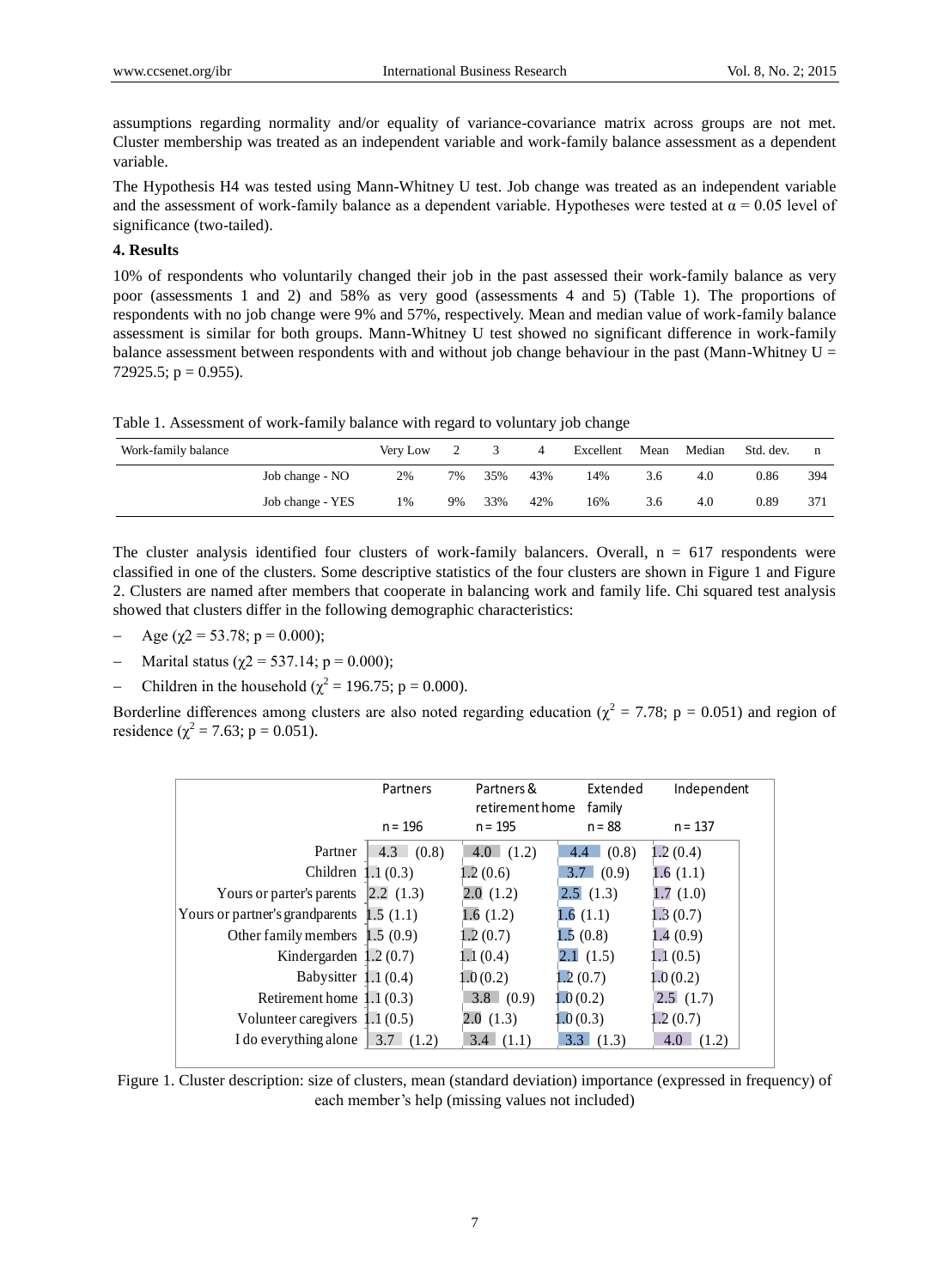assumptions regarding normality and/or equality of variance-covariance matrix across groups are not met. Cluster membership was treated as an independent variable and work-family balance assessment as a dependent variable.

The Hypothesis H4 was tested using Mann-Whitney U test. Job change was treated as an independent variable and the assessment of work-family balance as a dependent variable. Hypotheses were tested at  $\alpha$  = 0.05 level of significance (two-tailed).

# **4. Results**

10% of respondents who voluntarily changed their job in the past assessed their work-family balance as very poor (assessments 1 and 2) and 58% as very good (assessments 4 and 5) (Table 1). The proportions of respondents with no job change were 9% and 57%, respectively. Mean and median value of work-family balance assessment is similar for both groups. Mann-Whitney U test showed no significant difference in work-family balance assessment between respondents with and without job change behaviour in the past (Mann-Whitney U = 72925.5;  $p = 0.955$ ).

Table 1. Assessment of work-family balance with regard to voluntary job change

| Work-family balance |                  | Very Low | 2  |     | 4   | Excellent | Mean | Median | Std. dev. |     |
|---------------------|------------------|----------|----|-----|-----|-----------|------|--------|-----------|-----|
|                     | Job change - NO  | 2%       | 7% | 35% | 43% | 14%       | 3.6  | 4.0    | 0.86      | 394 |
|                     | Job change - YES | 1%       | 9% | 33% | 42% | 16%       | 3.6  | 4.0    | 0.89      | 371 |

The cluster analysis identified four clusters of work-family balancers. Overall,  $n = 617$  respondents were classified in one of the clusters. Some descriptive statistics of the four clusters are shown in Figure 1 and Figure 2. Clusters are named after members that cooperate in balancing work and family life. Chi squared test analysis showed that clusters differ in the following demographic characteristics:

- Age ( $\chi$ 2 = 53.78; p = 0.000);
- Marital status ( $\chi$ 2 = 537.14; p = 0.000);
- Children in the household ( $\chi^2 = 196.75$ ; p = 0.000).

Borderline differences among clusters are also noted regarding education ( $\chi^2$  = 7.78; p = 0.051) and region of residence ( $\chi^2 = 7.63$ ; p = 0.051).

|                                 | Partners     | Partners &<br>retirement home | Extended<br>family | Independent  |  |
|---------------------------------|--------------|-------------------------------|--------------------|--------------|--|
|                                 | $n = 196$    | $n = 195$                     | $n = 88$           | $n = 137$    |  |
| Partner                         | (0.8)<br>4.3 | $4.0$ $(1.2)$                 | (0.8)<br>4.4       | 1.2(0.4)     |  |
| Children                        | 1.1(0.3)     | 1.2(0.6)                      | (0.9)<br>3.7       | 1.6(1.1)     |  |
| Yours or parter's parents       | [2.2(1.3)]   | 2.0(1.2)                      | 2.5(1.3)           | 1.7(1.0)     |  |
| Yours or partner's grandparents | 1.5(1.1)     | 1.6(1.2)                      | 1.6(1.1)           | 1.3(0.7)     |  |
| Other family members            | 1.5(0.9)     | 1.2(0.7)                      | 1.5(0.8)           | 1.4(0.9)     |  |
| Kindergarden                    | 1.2(0.7)     | 1.1(0.4)                      | 2.1(1.5)           | 1.1(0.5)     |  |
| Babysitter $1.1(0.4)$           |              | 1.0(0.2)                      | 1.2(0.7)           | 1.0(0.2)     |  |
| Retirement home $1.1(0.3)$      |              | 3.8(0.9)                      | 1.0(0.2)           | 2.5(1.7)     |  |
| Volunteer caregivers            | 1.1(0.5)     | 2.0(1.3)                      | 1.0(0.3)           | 1.2(0.7)     |  |
| I do everything alone           | 3.7<br>(1.2) | 3.4<br>(1.1)                  | 3.3(1.3)           | (1.2)<br>4.0 |  |
|                                 |              |                               |                    |              |  |

Figure 1. Cluster description: size of clusters, mean (standard deviation) importance (expressed in frequency) of each member's help (missing values not included)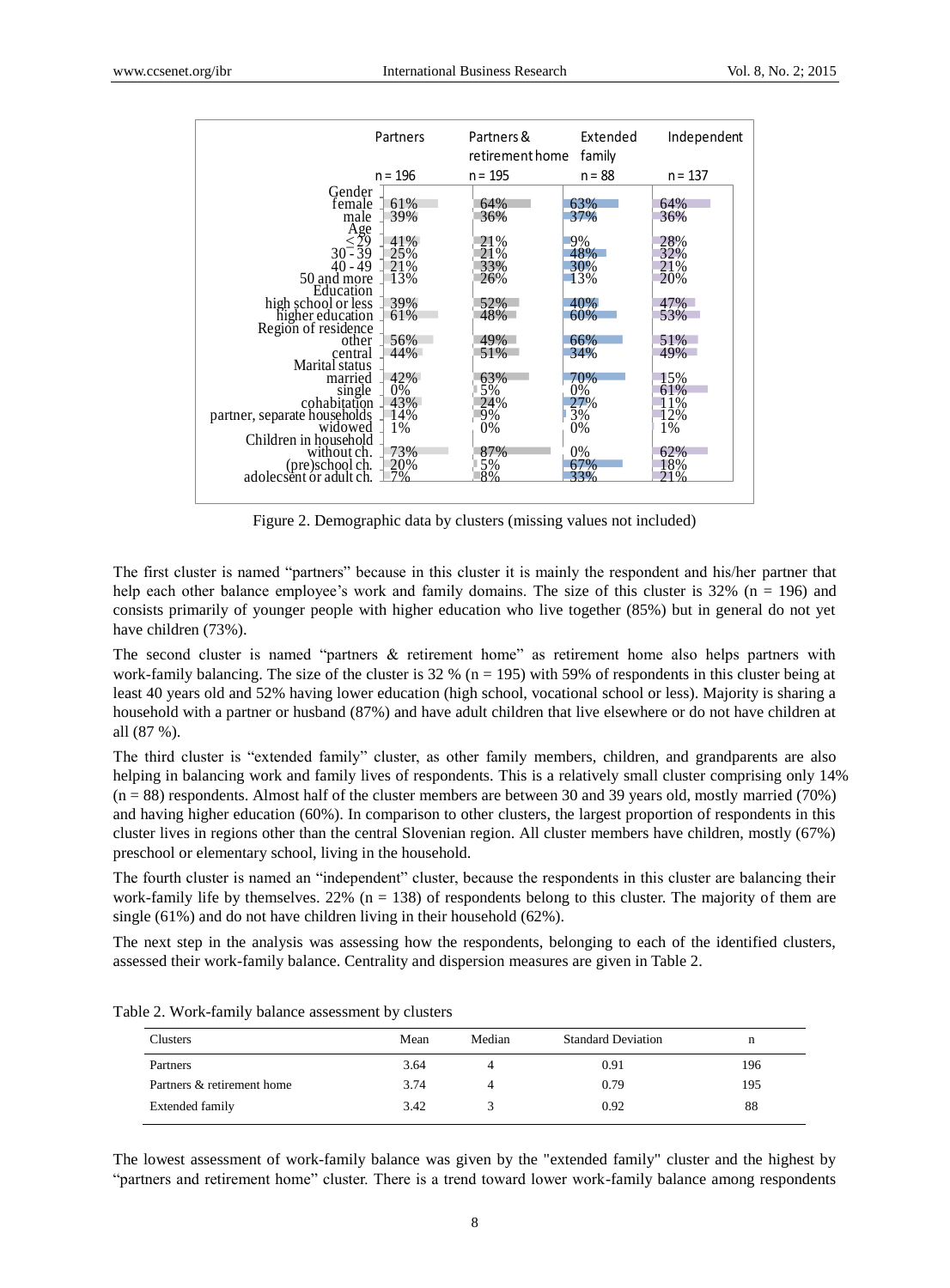| Partners                                         | Partners & | Extended                  | Independent       |
|--------------------------------------------------|------------|---------------------------|-------------------|
|                                                  |            | retirement home<br>family |                   |
| $n = 196$                                        | $n = 195$  | n = 88                    | $n = 137$         |
| Gender                                           |            |                           |                   |
| 61%<br>female                                    | 64%        | 63%                       | 64%               |
| male<br>39%                                      | 36%        | 37%                       | 36%               |
|                                                  |            |                           |                   |
| Age                                              |            |                           |                   |
| $^{41\%}_{25\%}$<br>$30 - \frac{2}{39}$          | 21%        | 9%                        | 28%               |
|                                                  | 21%        | 48%                       |                   |
| 21%<br>$40 - 49$                                 | 33%        | 30%                       | 21%               |
| 13%<br>50 and more                               | 26%        | 13%                       | 20%               |
| Education                                        |            |                           |                   |
| 39%<br>high school or less                       | 52%        | 40%                       | 47%               |
| 61%<br>higher education                          | 48%        | 60%                       | 53%               |
| Region of residence                              |            |                           |                   |
| 56%<br>other                                     | 49%        | 66%                       | 51%               |
| 44%<br>central                                   | 51%        | 34%                       | 49%               |
| Marital status                                   |            |                           |                   |
| 42%<br>married                                   | 63%        | 70%                       | 15%               |
| single                                           | 5%         | 0%                        | 61%               |
| $\frac{0\%}{43\%}$<br>43%<br>14%<br>cohabitation |            |                           |                   |
| partner, separate households                     | 24%<br>9%  | 27%<br>3%                 | $\frac{11%}{12%}$ |
|                                                  |            |                           |                   |
| $1\%$<br>widowed                                 | 0%         | 0%                        | 1%                |
| Children in household                            |            |                           |                   |
| 73%<br>without ch.                               | 87%        | 0%                        | 62%               |
| 20%<br>(pre)school ch.                           | 5%         | 67%                       | $18\%$            |
| adolecsent or adult ch.<br>7%                    | 8%         | 33%                       | 21%               |
|                                                  |            |                           |                   |
|                                                  |            |                           |                   |

Figure 2. Demographic data by clusters (missing values not included)

The first cluster is named "partners" because in this cluster it is mainly the respondent and his/her partner that help each other balance employee's work and family domains. The size of this cluster is  $32\%$  (n = 196) and consists primarily of younger people with higher education who live together (85%) but in general do not yet have children (73%).

The second cluster is named "partners & retirement home" as retirement home also helps partners with work-family balancing. The size of the cluster is 32 %  $(n = 195)$  with 59% of respondents in this cluster being at least 40 years old and 52% having lower education (high school, vocational school or less). Majority is sharing a household with a partner or husband (87%) and have adult children that live elsewhere or do not have children at all (87 %).

The third cluster is "extended family" cluster, as other family members, children, and grandparents are also helping in balancing work and family lives of respondents. This is a relatively small cluster comprising only 14%  $(n = 88)$  respondents. Almost half of the cluster members are between 30 and 39 years old, mostly married (70%) and having higher education (60%). In comparison to other clusters, the largest proportion of respondents in this cluster lives in regions other than the central Slovenian region. All cluster members have children, mostly (67%) preschool or elementary school, living in the household.

The fourth cluster is named an "independent" cluster, because the respondents in this cluster are balancing their work-family life by themselves.  $22\%$  (n = 138) of respondents belong to this cluster. The majority of them are single (61%) and do not have children living in their household (62%).

The next step in the analysis was assessing how the respondents, belonging to each of the identified clusters, assessed their work-family balance. Centrality and dispersion measures are given in Table 2.

| Clusters                   | Mean | Median | <b>Standard Deviation</b> |     |
|----------------------------|------|--------|---------------------------|-----|
| Partners                   | 3.64 |        | 0.91                      | 196 |
| Partners & retirement home | 3.74 | 4      | 0.79                      | 195 |
| <b>Extended family</b>     | 3.42 |        | 0.92                      | 88  |

Independent 3.62 4 0.92 138

Table 2. Work-family balance assessment by clusters

The lowest assessment of work-family balance was given by the "extended family" cluster and the highest by "partners and retirement home" cluster. There is a trend toward lower work-family balance among respondents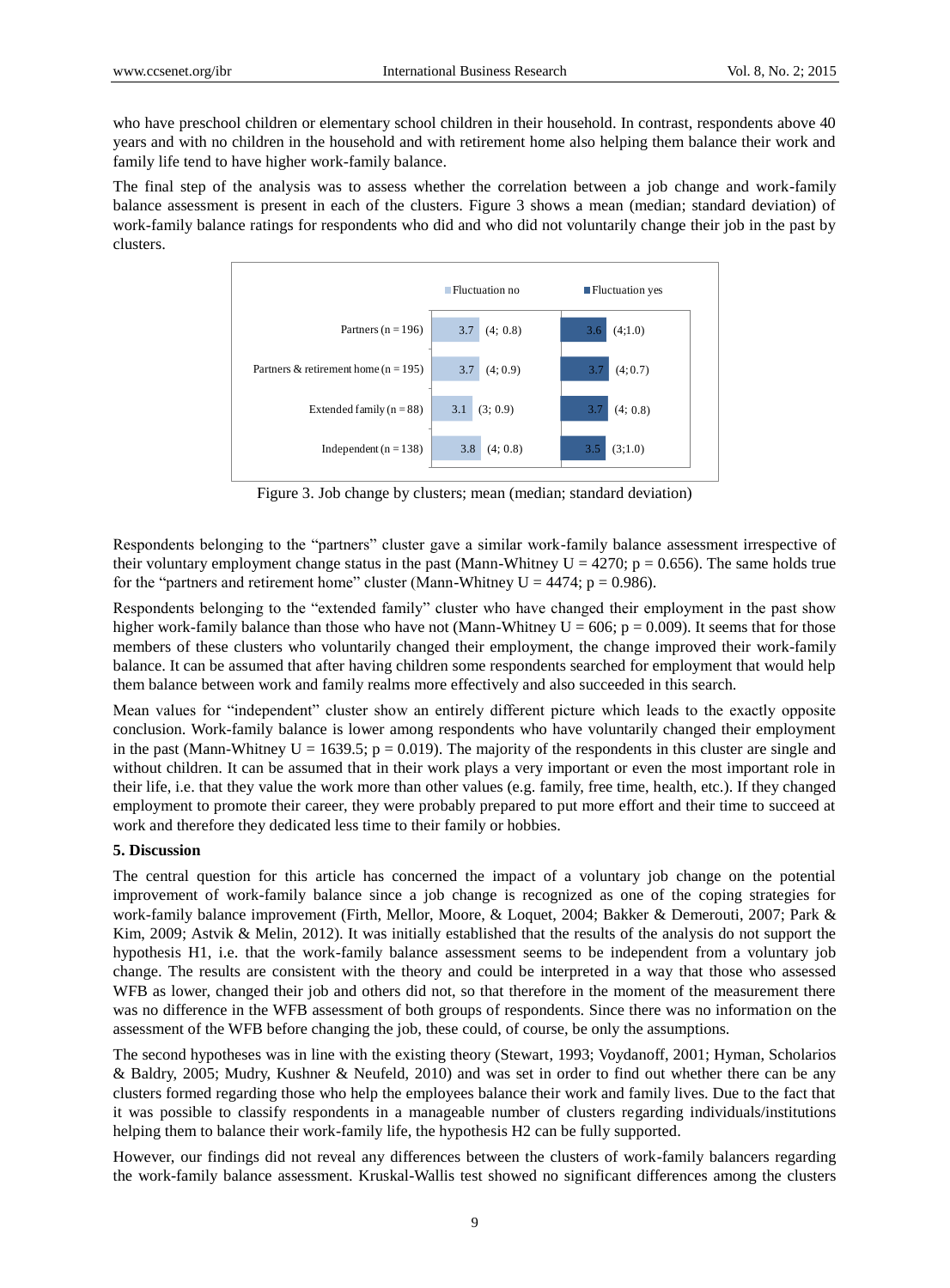who have preschool children or elementary school children in their household. In contrast, respondents above 40 years and with no children in the household and with retirement home also helping them balance their work and family life tend to have higher work-family balance.

The final step of the analysis was to assess whether the correlation between a job change and work-family balance assessment is present in each of the clusters. Figure 3 shows a mean (median; standard deviation) of work-family balance ratings for respondents who did and who did not voluntarily change their job in the past by clusters.



Figure 3. Job change by clusters; mean (median; standard deviation)

Respondents belonging to the "partners" cluster gave a similar work-family balance assessment irrespective of their voluntary employment change status in the past (Mann-Whitney  $U = 4270$ ;  $p = 0.656$ ). The same holds true for the "partners and retirement home" cluster (Mann-Whitney  $U = 4474$ ; p = 0.986).

Respondents belonging to the "extended family" cluster who have changed their employment in the past show higher work-family balance than those who have not (Mann-Whitney  $U = 606$ ;  $p = 0.009$ ). It seems that for those members of these clusters who voluntarily changed their employment, the change improved their work-family balance. It can be assumed that after having children some respondents searched for employment that would help them balance between work and family realms more effectively and also succeeded in this search.

Mean values for "independent" cluster show an entirely different picture which leads to the exactly opposite conclusion. Work-family balance is lower among respondents who have voluntarily changed their employment in the past (Mann-Whitney U = 1639.5;  $p = 0.019$ ). The majority of the respondents in this cluster are single and without children. It can be assumed that in their work plays a very important or even the most important role in their life, i.e. that they value the work more than other values (e.g. family, free time, health, etc.). If they changed employment to promote their career, they were probably prepared to put more effort and their time to succeed at work and therefore they dedicated less time to their family or hobbies.

#### **5. Discussion**

The central question for this article has concerned the impact of a voluntary job change on the potential improvement of work-family balance since a job change is recognized as one of the coping strategies for work-family balance improvement (Firth, Mellor, Moore, & Loquet, 2004; Bakker & Demerouti, 2007; Park & Kim, 2009; Astvik & Melin, 2012). It was initially established that the results of the analysis do not support the hypothesis H1, i.e. that the work-family balance assessment seems to be independent from a voluntary job change. The results are consistent with the theory and could be interpreted in a way that those who assessed WFB as lower, changed their job and others did not, so that therefore in the moment of the measurement there was no difference in the WFB assessment of both groups of respondents. Since there was no information on the assessment of the WFB before changing the job, these could, of course, be only the assumptions.

The second hypotheses was in line with the existing theory (Stewart, 1993; Voydanoff, 2001; Hyman, Scholarios & Baldry, 2005; Mudry, Kushner & Neufeld, 2010) and was set in order to find out whether there can be any clusters formed regarding those who help the employees balance their work and family lives. Due to the fact that it was possible to classify respondents in a manageable number of clusters regarding individuals/institutions helping them to balance their work-family life, the hypothesis H2 can be fully supported.

However, our findings did not reveal any differences between the clusters of work-family balancers regarding the work-family balance assessment. Kruskal-Wallis test showed no significant differences among the clusters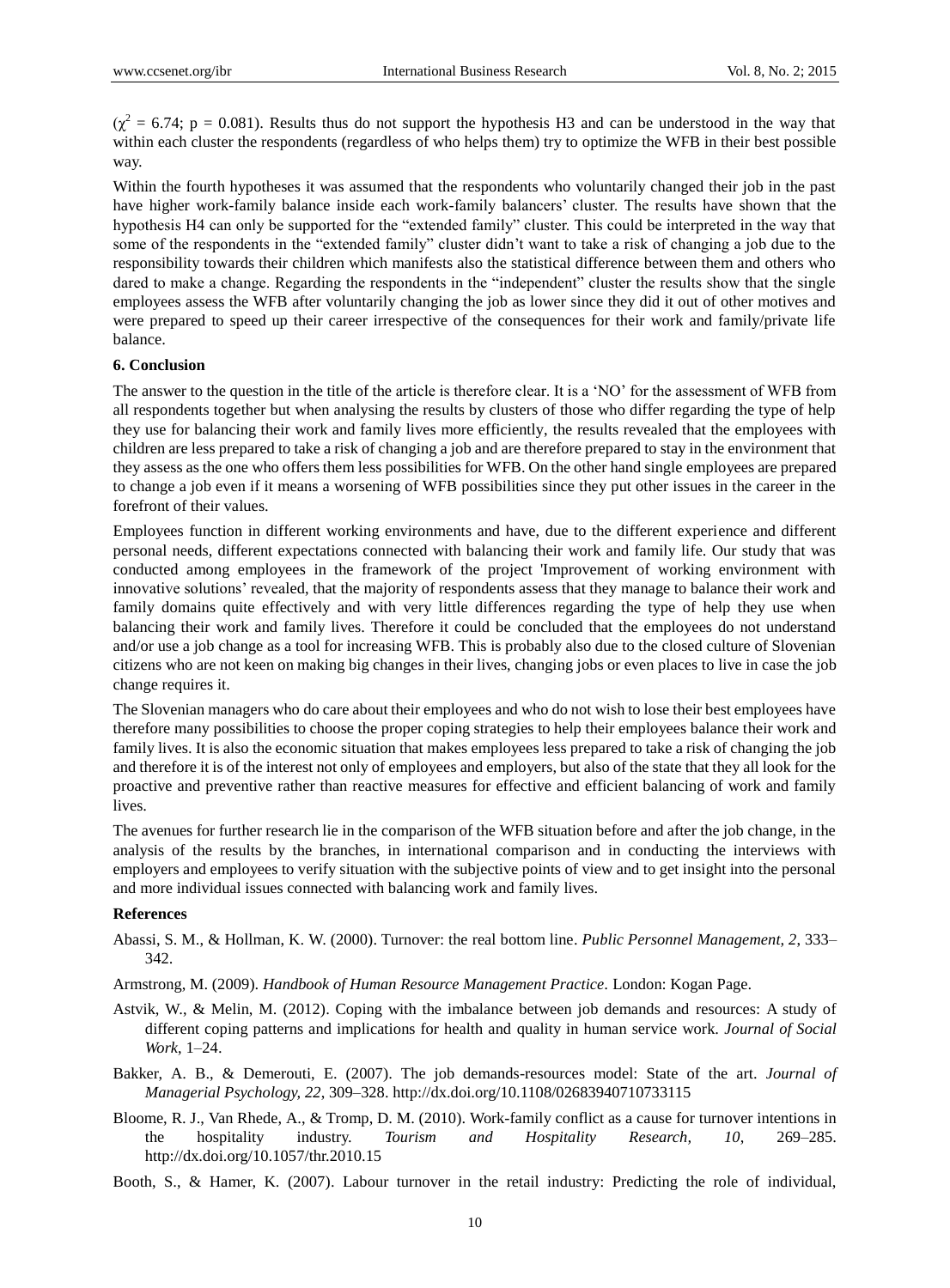$(\chi^2 = 6.74; p = 0.081)$ . Results thus do not support the hypothesis H3 and can be understood in the way that within each cluster the respondents (regardless of who helps them) try to optimize the WFB in their best possible way.

Within the fourth hypotheses it was assumed that the respondents who voluntarily changed their job in the past have higher work-family balance inside each work-family balancers' cluster. The results have shown that the hypothesis H4 can only be supported for the "extended family" cluster. This could be interpreted in the way that some of the respondents in the "extended family" cluster didn"t want to take a risk of changing a job due to the responsibility towards their children which manifests also the statistical difference between them and others who dared to make a change. Regarding the respondents in the "independent" cluster the results show that the single employees assess the WFB after voluntarily changing the job as lower since they did it out of other motives and were prepared to speed up their career irrespective of the consequences for their work and family/private life balance.

#### **6. Conclusion**

The answer to the question in the title of the article is therefore clear. It is a "NO" for the assessment of WFB from all respondents together but when analysing the results by clusters of those who differ regarding the type of help they use for balancing their work and family lives more efficiently, the results revealed that the employees with children are less prepared to take a risk of changing a job and are therefore prepared to stay in the environment that they assess as the one who offers them less possibilities for WFB. On the other hand single employees are prepared to change a job even if it means a worsening of WFB possibilities since they put other issues in the career in the forefront of their values.

Employees function in different working environments and have, due to the different experience and different personal needs, different expectations connected with balancing their work and family life. Our study that was conducted among employees in the framework of the project 'Improvement of working environment with innovative solutions" revealed, that the majority of respondents assess that they manage to balance their work and family domains quite effectively and with very little differences regarding the type of help they use when balancing their work and family lives. Therefore it could be concluded that the employees do not understand and/or use a job change as a tool for increasing WFB. This is probably also due to the closed culture of Slovenian citizens who are not keen on making big changes in their lives, changing jobs or even places to live in case the job change requires it.

The Slovenian managers who do care about their employees and who do not wish to lose their best employees have therefore many possibilities to choose the proper coping strategies to help their employees balance their work and family lives. It is also the economic situation that makes employees less prepared to take a risk of changing the job and therefore it is of the interest not only of employees and employers, but also of the state that they all look for the proactive and preventive rather than reactive measures for effective and efficient balancing of work and family lives.

The avenues for further research lie in the comparison of the WFB situation before and after the job change, in the analysis of the results by the branches, in international comparison and in conducting the interviews with employers and employees to verify situation with the subjective points of view and to get insight into the personal and more individual issues connected with balancing work and family lives.

### **References**

- Abassi, S. M., & Hollman, K. W. (2000). Turnover: the real bottom line. *Public Personnel Management, 2*, 333– 342.
- Armstrong, M. (2009). *Handbook of Human Resource Management Practice.* London: Kogan Page.
- Astvik, W., & Melin, M. (2012). Coping with the imbalance between job demands and resources: A study of different coping patterns and implications for health and quality in human service work. *Journal of Social Work*, 1–24.
- Bakker, A. B., & Demerouti, E. (2007). The job demands-resources model: State of the art. *Journal of Managerial Psychology, 22*, 309–328. http://dx.doi.org/10.1108/02683940710733115
- Bloome, R. J., Van Rhede, A., & Tromp, D. M. (2010). Work-family conflict as a cause for turnover intentions in the hospitality industry. *Tourism and Hospitality Research, 10*, 269–285. http://dx.doi.org/10.1057/thr.2010.15
- Booth, S., & Hamer, K. (2007). Labour turnover in the retail industry: Predicting the role of individual,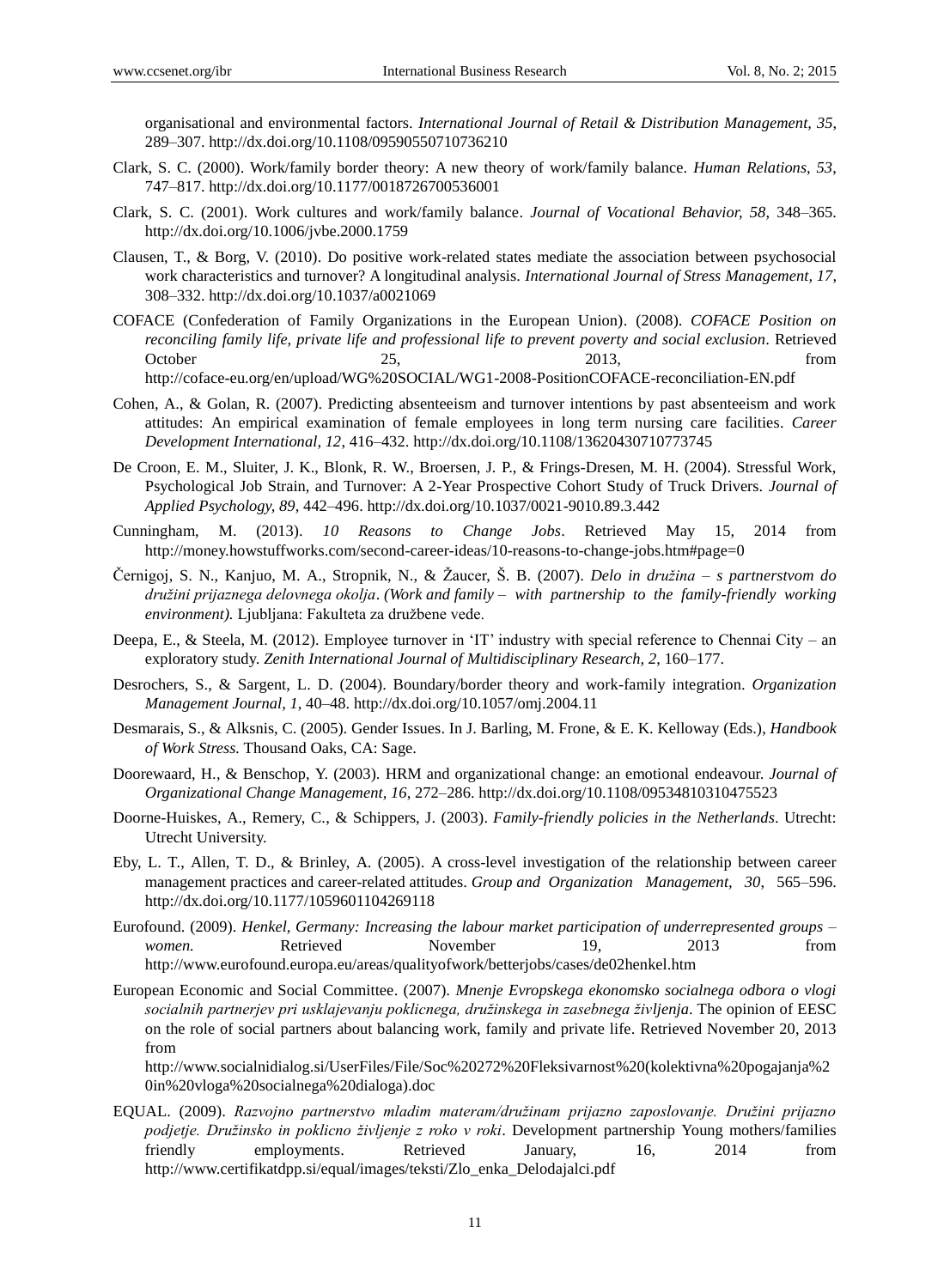organisational and environmental factors. *International Journal of Retail & Distribution Management, 35*, 289–307. http://dx.doi.org/10.1108/09590550710736210

- Clark, S. C. (2000). Work/family border theory: A new theory of work/family balance. *Human Relations, 53*, 747–817. http://dx.doi.org/10.1177/0018726700536001
- Clark, S. C. (2001). Work cultures and work/family balance. *Journal of Vocational Behavior, 58*, 348–365. http://dx.doi.org/10.1006/jvbe.2000.1759
- Clausen, T., & Borg, V. (2010). Do positive work-related states mediate the association between psychosocial work characteristics and turnover? A longitudinal analysis. *International Journal of Stress Management, 17*, 308–332. http://dx.doi.org/10.1037/a0021069
- COFACE (Confederation of Family Organizations in the European Union). (2008). *COFACE Position on reconciling family life, private life and professional life to prevent poverty and social exclusion*. Retrieved October 25, 2013, from http://coface-eu.org/en/upload/WG%20SOCIAL/WG1-2008-PositionCOFACE-reconciliation-EN.pdf
- Cohen, A., & Golan, R. (2007). Predicting absenteeism and turnover intentions by past absenteeism and work attitudes: An empirical examination of female employees in long term nursing care facilities. *Career Development International, 12*, 416–432. http://dx.doi.org/10.1108/13620430710773745
- De Croon, E. M., Sluiter, J. K., Blonk, R. W., Broersen, J. P., & Frings-Dresen, M. H. (2004). Stressful Work, Psychological Job Strain, and Turnover: A 2-Year Prospective Cohort Study of Truck Drivers. *Journal of Applied Psychology, 89*, 442–496. http://dx.doi.org/10.1037/0021-9010.89.3.442
- Cunningham, M. (2013). *10 Reasons to Change Jobs*. Retrieved May 15, 2014 from http://money.howstuffworks.com/second-career-ideas/10-reasons-to-change-jobs.htm#page=0
- Černigoj, S. N., Kanjuo, M. A., Stropnik, N., & Žaucer, Š. B. (2007). *Delo in družina – s partnerstvom do družini prijaznega delovnega okolja*. *(Work and family – with partnership to the family-friendly working environment).* Ljubljana: Fakulteta za družbene vede.
- Deepa, E., & Steela, M. (2012). Employee turnover in 'IT' industry with special reference to Chennai City an exploratory study. *Zenith International Journal of Multidisciplinary Research, 2*, 160–177.
- Desrochers, S., & Sargent, L. D. (2004). Boundary/border theory and work-family integration. *Organization Management Journal, 1*, 40–48. http://dx.doi.org/10.1057/omj.2004.11
- Desmarais, S., & Alksnis, C. (2005). Gender Issues. In J. Barling, M. Frone, & E. K. Kelloway (Eds.), *Handbook of Work Stress.* Thousand Oaks, CA: Sage.
- Doorewaard, H., & Benschop, Y. (2003). HRM and organizational change: an emotional endeavour. *Journal of Organizational Change Management, 16*, 272–286. http://dx.doi.org/10.1108/09534810310475523
- Doorne-Huiskes, A., Remery, C., & Schippers, J. (2003). *Family-friendly policies in the Netherlands*. Utrecht: Utrecht University.
- Eby, L. T., Allen, T. D., & Brinley, A. (2005). A cross-level investigation of the relationship between career management practices and career-related attitudes. *Group and Organization Management, 30*, 565–596. http://dx.doi.org/10.1177/1059601104269118
- Eurofound. (2009). *Henkel, Germany: Increasing the labour market participation of underrepresented groups – women.* Retrieved November 19, 2013 from http://www.eurofound.europa.eu/areas/qualityofwork/betterjobs/cases/de02henkel.htm
- European Economic and Social Committee. (2007). *Mnenje Evropskega ekonomsko socialnega odbora o vlogi socialnih partnerjev pri usklajevanju poklicnega, družinskega in zasebnega življenja*. The opinion of EESC on the role of social partners about balancing work, family and private life. Retrieved November 20, 2013 from

http://www.socialnidialog.si/UserFiles/File/Soc%20272%20Fleksivarnost%20(kolektivna%20pogajanja%2 0in%20vloga%20socialnega%20dialoga).doc

EQUAL. (2009). *Razvojno partnerstvo mladim materam/družinam prijazno zaposlovanje. Družini prijazno podjetje. Družinsko in poklicno življenje z roko v roki*. Development partnership Young mothers/families friendly employments. Retrieved January, 16, 2014 from http://www.certifikatdpp.si/equal/images/teksti/Zlo\_enka\_Delodajalci.pdf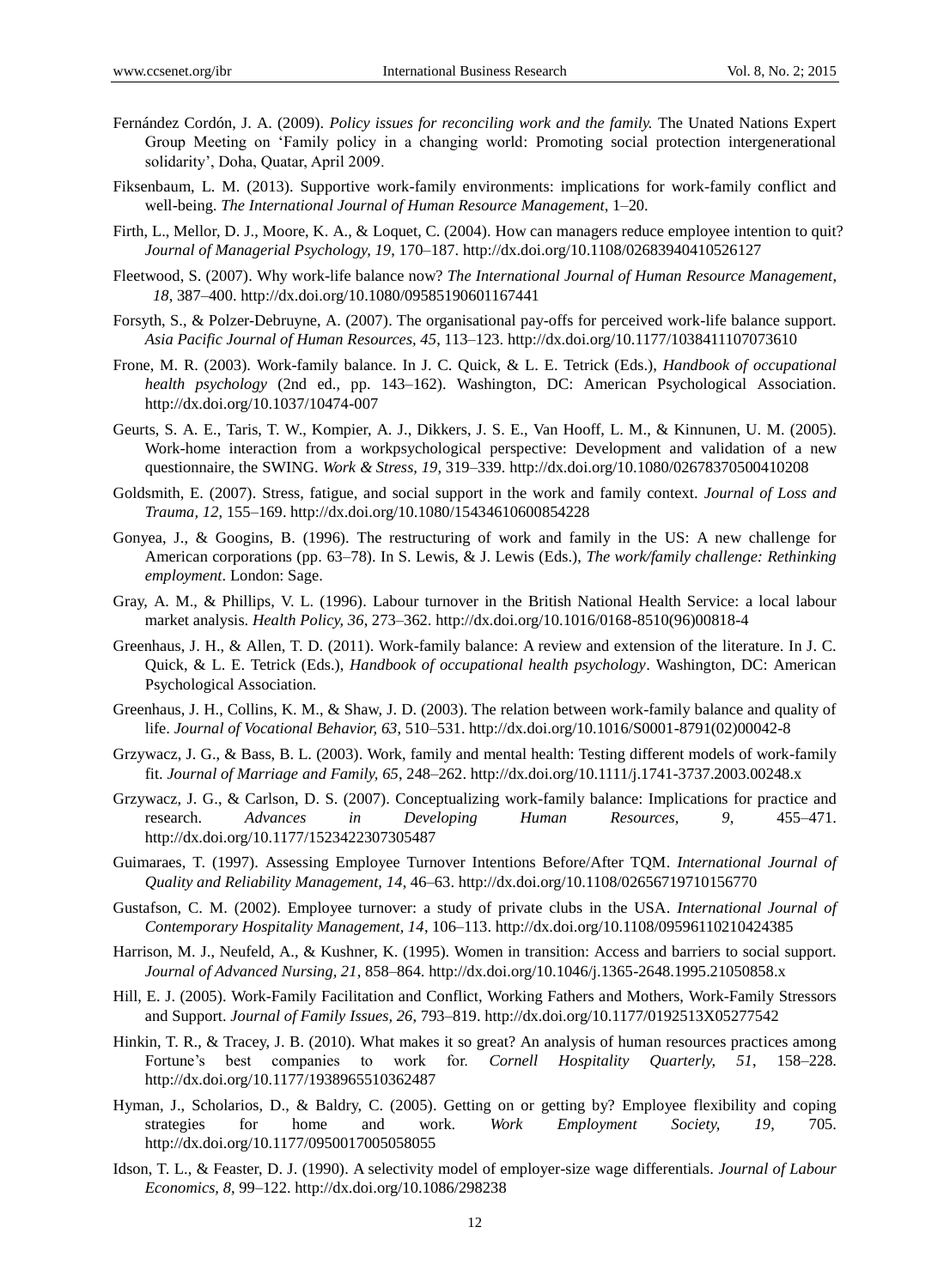- Fernández Cordón, J. A. (2009). *Policy issues for reconciling work and the family.* The Unated Nations Expert Group Meeting on "Family policy in a changing world: Promoting social protection intergenerational solidarity", Doha, Quatar, April 2009.
- Fiksenbaum, L. M. (2013). Supportive work-family environments: implications for work-family conflict and well-being. *The International Journal of Human Resource Management*, 1–20.
- Firth, L., Mellor, D. J., Moore, K. A., & Loquet, C. (2004). How can managers reduce employee intention to quit? *Journal of Managerial Psychology, 19*, 170–187. http://dx.doi.org/10.1108/02683940410526127
- Fleetwood, S. (2007). Why work-life balance now? *The International Journal of Human Resource Management*, *18*, 387–400. http://dx.doi.org/10.1080/09585190601167441
- Forsyth, S., & Polzer-Debruyne, A. (2007). The organisational pay-offs for perceived work-life balance support. *Asia Pacific Journal of Human Resources, 45*, 113–123. http://dx.doi.org/10.1177/1038411107073610
- Frone, M. R. (2003). Work-family balance. In J. C. Quick, & L. E. Tetrick (Eds.), *Handbook of occupational health psychology* (2nd ed., pp. 143–162). Washington, DC: American Psychological Association. http://dx.doi.org/10.1037/10474-007
- Geurts, S. A. E., Taris, T. W., Kompier, A. J., Dikkers, J. S. E., Van Hooff, L. M., & Kinnunen, U. M. (2005). Work-home interaction from a workpsychological perspective: Development and validation of a new questionnaire, the SWING. *Work & Stress, 19*, 319–339. http://dx.doi.org/10.1080/02678370500410208
- Goldsmith, E. (2007). Stress, fatigue, and social support in the work and family context. *Journal of Loss and Trauma, 12*, 155–169. http://dx.doi.org/10.1080/15434610600854228
- Gonyea, J., & Googins, B. (1996). The restructuring of work and family in the US: A new challenge for American corporations (pp. 63–78). In S. Lewis, & J. Lewis (Eds.), *The work/family challenge: Rethinking employment*. London: Sage.
- Gray, A. M., & Phillips, V. L. (1996). Labour turnover in the British National Health Service: a local labour market analysis. *Health Policy, 36*, 273–362. http://dx.doi.org/10.1016/0168-8510(96)00818-4
- Greenhaus, J. H., & Allen, T. D. (2011). Work-family balance: A review and extension of the literature. In J. C. Quick, & L. E. Tetrick (Eds.), *Handbook of occupational health psychology*. Washington, DC: American Psychological Association.
- Greenhaus, J. H., Collins, K. M., & Shaw, J. D. (2003). The relation between work-family balance and quality of life. *Journal of Vocational Behavior, 63*, 510–531. http://dx.doi.org/10.1016/S0001-8791(02)00042-8
- Grzywacz, J. G., & Bass, B. L. (2003). Work, family and mental health: Testing different models of work-family fit. *Journal of Marriage and Family, 65*, 248–262. http://dx.doi.org/10.1111/j.1741-3737.2003.00248.x
- Grzywacz, J. G., & Carlson, D. S. (2007). Conceptualizing work-family balance: Implications for practice and research. *Advances in Developing Human Resources, 9*, 455–471. http://dx.doi.org/10.1177/1523422307305487
- Guimaraes, T. (1997). Assessing Employee Turnover Intentions Before/After TQM. *International Journal of Quality and Reliability Management, 14*, 46–63. http://dx.doi.org/10.1108/02656719710156770
- Gustafson, C. M. (2002). Employee turnover: a study of private clubs in the USA. *International Journal of Contemporary Hospitality Management, 14*, 106–113. http://dx.doi.org/10.1108/09596110210424385
- Harrison, M. J., Neufeld, A., & Kushner, K. (1995). Women in transition: Access and barriers to social support. *Journal of Advanced Nursing, 21*, 858–864. http://dx.doi.org/10.1046/j.1365-2648.1995.21050858.x
- Hill, E. J. (2005). Work-Family Facilitation and Conflict, Working Fathers and Mothers, Work-Family Stressors and Support. *Journal of Family Issues, 26*, 793–819. http://dx.doi.org/10.1177/0192513X05277542
- Hinkin, T. R., & Tracey, J. B. (2010). What makes it so great? An analysis of human resources practices among Fortune"s best companies to work for. *Cornell Hospitality Quarterly, 51*, 158–228. http://dx.doi.org/10.1177/1938965510362487
- Hyman, J., Scholarios, D., & Baldry, C. (2005). Getting on or getting by? Employee flexibility and coping strategies for home and work. *Work Employment Society, 19*, 705. http://dx.doi.org/10.1177/0950017005058055
- Idson, T. L., & Feaster, D. J. (1990). A selectivity model of employer-size wage differentials. *Journal of Labour Economics, 8*, 99–122. http://dx.doi.org/10.1086/298238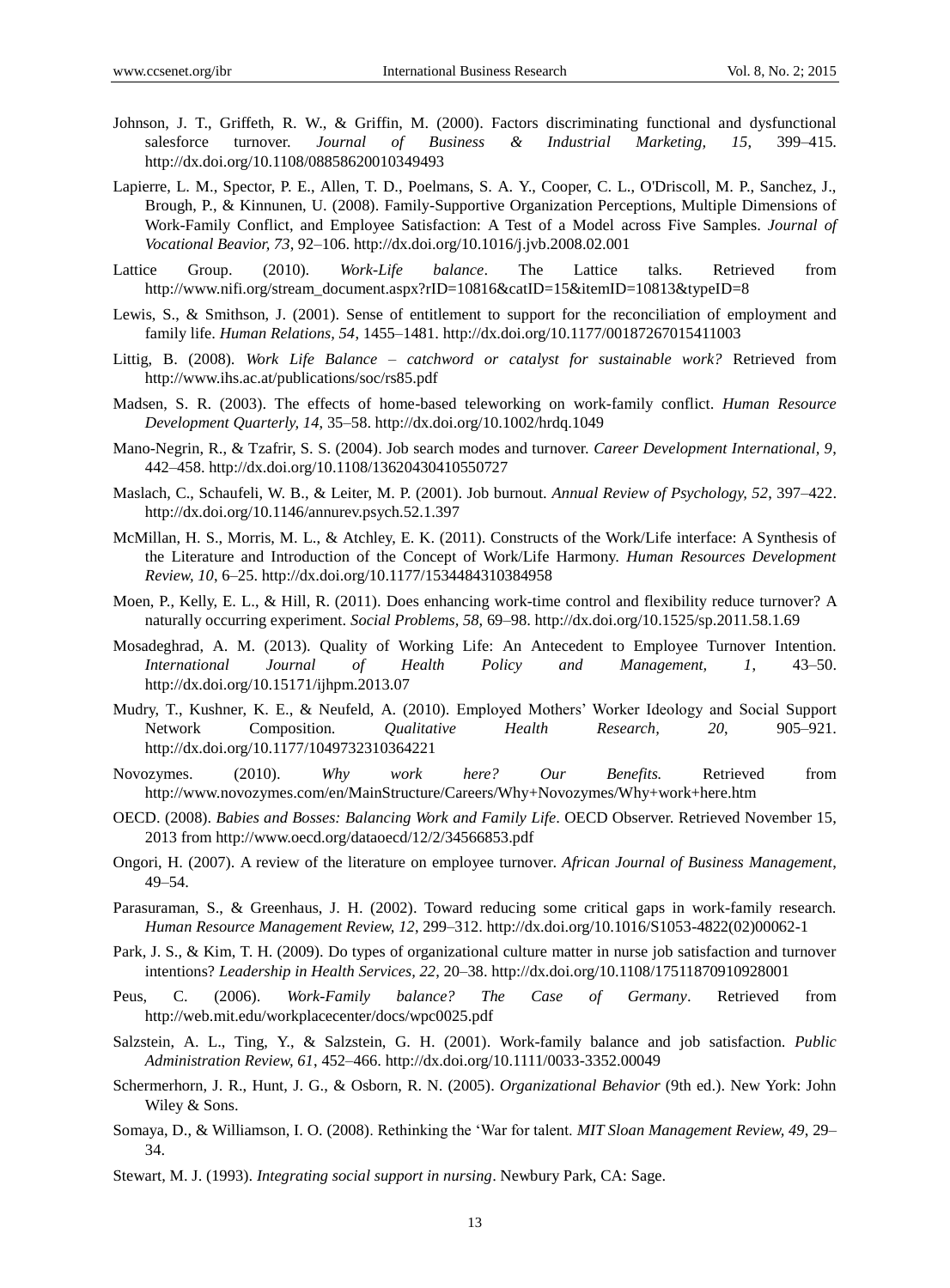- Johnson, J. T., Griffeth, R. W., & Griffin, M. (2000). Factors discriminating functional and dysfunctional salesforce turnover. *Journal of Business & Industrial Marketing, 15*, 399–415. http://dx.doi.org/10.1108/08858620010349493
- Lapierre, L. M., Spector, P. E., Allen, T. D., Poelmans, S. A. Y., Cooper, C. L., O'Driscoll, M. P., Sanchez, J., Brough, P., & Kinnunen, U. (2008). Family-Supportive Organization Perceptions, Multiple Dimensions of Work-Family Conflict, and Employee Satisfaction: A Test of a Model across Five Samples. *Journal of Vocational Beavior, 73*, 92–106. http://dx.doi.org/10.1016/j.jvb.2008.02.001
- Lattice Group. (2010). *Work-Life balance*. The Lattice talks. Retrieved from http://www.nifi.org/stream\_document.aspx?rID=10816&catID=15&itemID=10813&typeID=8
- Lewis, S., & Smithson, J. (2001). Sense of entitlement to support for the reconciliation of employment and family life. *Human Relations, 54*, 1455–1481. http://dx.doi.org/10.1177/00187267015411003
- Littig, B. (2008). *Work Life Balance – catchword or catalyst for sustainable work?* Retrieved from http://www.ihs.ac.at/publications/soc/rs85.pdf
- Madsen, S. R. (2003). The effects of home-based teleworking on work-family conflict. *Human Resource Development Quarterly, 14*, 35–58. http://dx.doi.org/10.1002/hrdq.1049
- Mano-Negrin, R., & Tzafrir, S. S. (2004). Job search modes and turnover. *Career Development International, 9*, 442–458. http://dx.doi.org/10.1108/13620430410550727
- Maslach, C., Schaufeli, W. B., & Leiter, M. P. (2001). Job burnout. *Annual Review of Psychology, 52*, 397–422. http://dx.doi.org/10.1146/annurev.psych.52.1.397
- McMillan, H. S., Morris, M. L., & Atchley, E. K. (2011). Constructs of the Work/Life interface: A Synthesis of the Literature and Introduction of the Concept of Work/Life Harmony. *Human Resources Development Review, 10*, 6–25. http://dx.doi.org/10.1177/1534484310384958
- Moen, P., Kelly, E. L., & Hill, R. (2011). Does enhancing work-time control and flexibility reduce turnover? A naturally occurring experiment. *Social Problems, 58*, 69–98. http://dx.doi.org/10.1525/sp.2011.58.1.69
- Mosadeghrad, A. M. (2013). Quality of Working Life: An Antecedent to Employee Turnover Intention. *International Journal of Health Policy and Management, 1*, 43–50. http://dx.doi.org/10.15171/ijhpm.2013.07
- Mudry, T., Kushner, K. E., & Neufeld, A. (2010). Employed Mothers" Worker Ideology and Social Support Network Composition. *Qualitative Health Research, 20*, 905–921. http://dx.doi.org/10.1177/1049732310364221
- Novozymes. (2010). *Why work here? Our Benefits.* Retrieved from http://www.novozymes.com/en/MainStructure/Careers/Why+Novozymes/Why+work+here.htm
- OECD. (2008). *Babies and Bosses: Balancing Work and Family Life*. OECD Observer. Retrieved November 15, 2013 from http://www.oecd.org/dataoecd/12/2/34566853.pdf
- Ongori, H. (2007). A review of the literature on employee turnover. *African Journal of Business Management*, 49–54.
- Parasuraman, S., & Greenhaus, J. H. (2002). Toward reducing some critical gaps in work-family research. *Human Resource Management Review, 12*, 299–312. http://dx.doi.org/10.1016/S1053-4822(02)00062-1
- Park, J. S., & Kim, T. H. (2009). Do types of organizational culture matter in nurse job satisfaction and turnover intentions? *Leadership in Health Services, 22*, 20–38. http://dx.doi.org/10.1108/17511870910928001
- Peus, C. (2006). *Work-Family balance? The Case of Germany*. Retrieved from http://web.mit.edu/workplacecenter/docs/wpc0025.pdf
- Salzstein, A. L., Ting, Y., & Salzstein, G. H. (2001). Work-family balance and job satisfaction. *Public Administration Review, 61*, 452–466. http://dx.doi.org/10.1111/0033-3352.00049
- Schermerhorn, J. R., Hunt, J. G., & Osborn, R. N. (2005). *Organizational Behavior* (9th ed.). New York: John Wiley & Sons.
- Somaya, D., & Williamson, I. O. (2008). Rethinking the "War for talent. *MIT Sloan Management Review, 49*, 29– 34.
- Stewart, M. J. (1993). *Integrating social support in nursing*. Newbury Park, CA: Sage.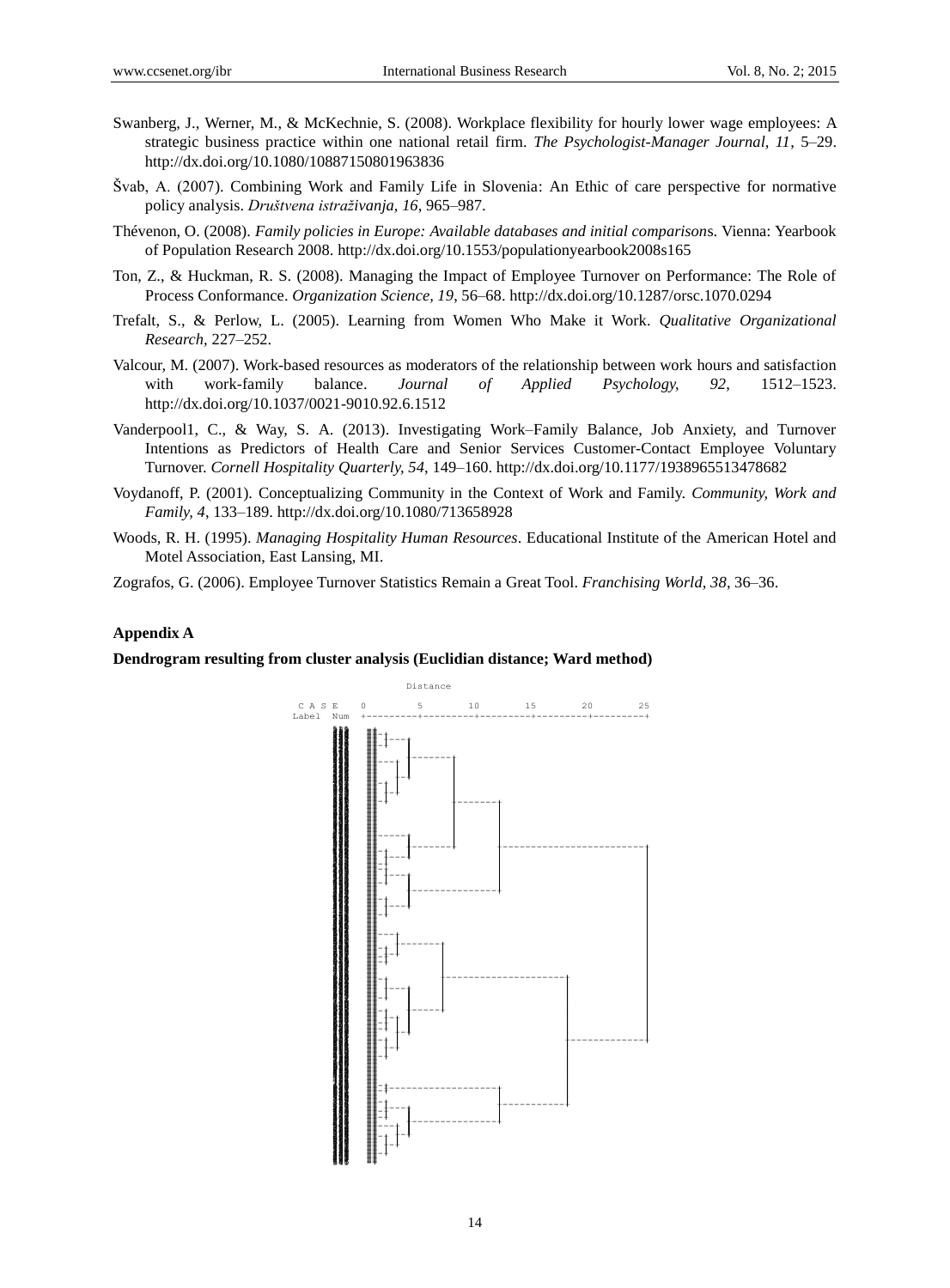- Swanberg, J., Werner, M., & McKechnie, S. (2008). Workplace flexibility for hourly lower wage employees: A strategic business practice within one national retail firm. *The Psychologist-Manager Journal, 11*, 5–29. http://dx.doi.org/10.1080/10887150801963836
- Švab, A. (2007). Combining Work and Family Life in Slovenia: An Ethic of care perspective for normative policy analysis. *Društvena istraživanja, 16*, 965–987.
- Thévenon, O. (2008). *Family policies in Europe: Available databases and initial comparison*s. Vienna: Yearbook of Population Research 2008. http://dx.doi.org/10.1553/populationyearbook2008s165
- Ton, Z., & Huckman, R. S. (2008). Managing the Impact of Employee Turnover on Performance: The Role of Process Conformance. *Organization Science, 19*, 56–68. http://dx.doi.org/10.1287/orsc.1070.0294
- Trefalt, S., & Perlow, L. (2005). Learning from Women Who Make it Work. *Qualitative Organizational Research,* 227–252.
- Valcour, M. (2007). Work-based resources as moderators of the relationship between work hours and satisfaction with work-family balance. *Journal of Applied Psychology, 92*, 1512–1523. http://dx.doi.org/10.1037/0021-9010.92.6.1512
- Vanderpool1, C., & Way, S. A. (2013). Investigating Work–Family Balance, Job Anxiety, and Turnover Intentions as Predictors of Health Care and Senior Services Customer-Contact Employee Voluntary Turnover. *Cornell Hospitality Quarterly, 54*, 149–160. http://dx.doi.org/10.1177/1938965513478682
- Voydanoff, P. (2001). Conceptualizing Community in the Context of Work and Family. *Community, Work and Family, 4*, 133–189. http://dx.doi.org/10.1080/713658928
- Woods, R. H. (1995). *Managing Hospitality Human Resources*. Educational Institute of the American Hotel and Motel Association, East Lansing, MI.

Zografos, G. (2006). Employee Turnover Statistics Remain a Great Tool. *Franchising World, 38*, 36–36.

## **Appendix A**

**Dendrogram resulting from cluster analysis (Euclidian distance; Ward method)**